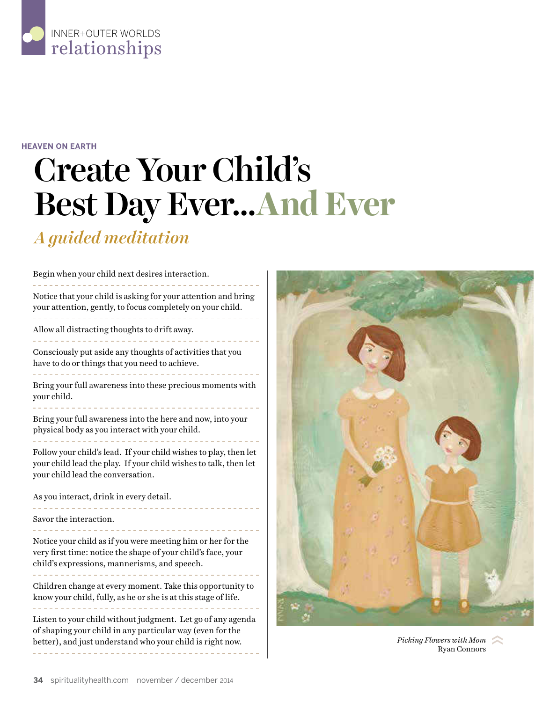

## **HEAVEN ON EARTH**

## Create Your Child's Best Day Ever…**And Ever**

## *A guided meditation*

| Begin when your child next desires interaction.                                                                                                                                       |
|---------------------------------------------------------------------------------------------------------------------------------------------------------------------------------------|
| Notice that your child is asking for your attention and bring<br>your attention, gently, to focus completely on your child.                                                           |
| Allow all distracting thoughts to drift away.                                                                                                                                         |
| Consciously put aside any thoughts of activities that you<br>have to do or things that you need to achieve.                                                                           |
| Bring your full awareness into these precious moments with<br>your child.                                                                                                             |
| Bring your full awareness into the here and now, into your<br>physical body as you interact with your child.                                                                          |
| Follow your child's lead. If your child wishes to play, then let<br>your child lead the play. If your child wishes to talk, then let<br>your child lead the conversation.             |
| As you interact, drink in every detail.                                                                                                                                               |
| Savor the interaction.                                                                                                                                                                |
| Notice your child as if you were meeting him or her for the<br>very first time: notice the shape of your child's face, your<br>child's expressions, mannerisms, and speech.           |
| Children change at every moment. Take this opportunity to<br>know your child, fully, as he or she is at this stage of life.                                                           |
| Listen to your child without judgment. Let go of any agenda<br>of shaping your child in any particular way (even for the<br>better), and just understand who your child is right now. |



Ryan Connors Picking Flowers with Mom